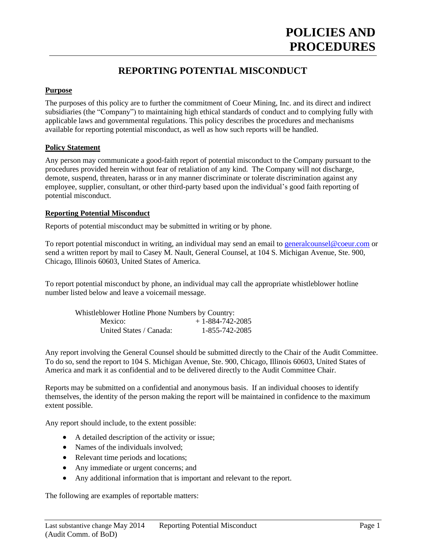# **POLICIES AND PROCEDURES**

# **REPORTING POTENTIAL MISCONDUCT**

# **Purpose**

The purposes of this policy are to further the commitment of Coeur Mining, Inc. and its direct and indirect subsidiaries (the "Company") to maintaining high ethical standards of conduct and to complying fully with applicable laws and governmental regulations. This policy describes the procedures and mechanisms available for reporting potential misconduct, as well as how such reports will be handled.

## **Policy Statement**

Any person may communicate a good-faith report of potential misconduct to the Company pursuant to the procedures provided herein without fear of retaliation of any kind. The Company will not discharge, demote, suspend, threaten, harass or in any manner discriminate or tolerate discrimination against any employee, supplier, consultant, or other third-party based upon the individual's good faith reporting of potential misconduct.

## **Reporting Potential Misconduct**

Reports of potential misconduct may be submitted in writing or by phone.

To report potential misconduct in writing, an individual may send an email to [generalcounsel@coeur.com](mailto:generalcounsel@coeur.com) or send a written report by mail to Casey M. Nault, General Counsel, at 104 S. Michigan Avenue, Ste. 900, Chicago, Illinois 60603, United States of America.

To report potential misconduct by phone, an individual may call the appropriate whistleblower hotline number listed below and leave a voicemail message.

| Whistleblower Hotline Phone Numbers by Country: |                   |
|-------------------------------------------------|-------------------|
| Mexico:                                         | $+1-884-742-2085$ |
| United States / Canada:                         | 1-855-742-2085    |

Any report involving the General Counsel should be submitted directly to the Chair of the Audit Committee. To do so, send the report to 104 S. Michigan Avenue, Ste. 900, Chicago, Illinois 60603, United States of America and mark it as confidential and to be delivered directly to the Audit Committee Chair.

Reports may be submitted on a confidential and anonymous basis. If an individual chooses to identify themselves, the identity of the person making the report will be maintained in confidence to the maximum extent possible.

Any report should include, to the extent possible:

- A detailed description of the activity or issue;
- Names of the individuals involved;
- Relevant time periods and locations;
- Any immediate or urgent concerns; and
- Any additional information that is important and relevant to the report.

The following are examples of reportable matters: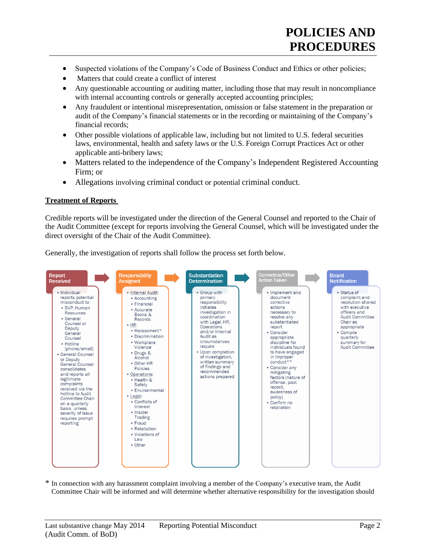- Suspected violations of the Company's Code of Business Conduct and Ethics or other policies;
- Matters that could create a conflict of interest
- Any questionable accounting or auditing matter, including those that may result in noncompliance with internal accounting controls or generally accepted accounting principles;
- Any fraudulent or intentional misrepresentation, omission or false statement in the preparation or audit of the Company's financial statements or in the recording or maintaining of the Company's financial records;
- Other possible violations of applicable law, including but not limited to U.S. federal securities laws, environmental, health and safety laws or the U.S. Foreign Corrupt Practices Act or other applicable anti-bribery laws;
- Matters related to the independence of the Company's Independent Registered Accounting Firm; or
- Allegations involving criminal conduct or potential criminal conduct.

## **Treatment of Reports**

Credible reports will be investigated under the direction of the General Counsel and reported to the Chair of the Audit Committee (except for reports involving the General Counsel, which will be investigated under the direct oversight of the Chair of the Audit Committee).

Generally, the investigation of reports shall follow the process set forth below.



In connection with any harassment complaint involving a member of the Company's executive team, the Audit Committee Chair will be informed and will determine whether alternative responsibility for the investigation should